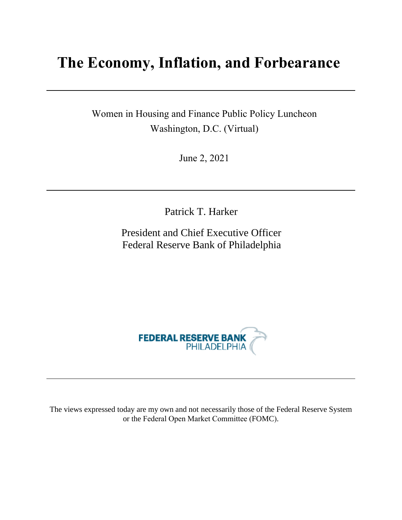# **The Economy, Inflation, and Forbearance**

Women in Housing and Finance Public Policy Luncheon Washington, D.C. (Virtual)

June 2, 2021

Patrick T. Harker

President and Chief Executive Officer Federal Reserve Bank of Philadelphia



The views expressed today are my own and not necessarily those of the Federal Reserve System or the Federal Open Market Committee (FOMC).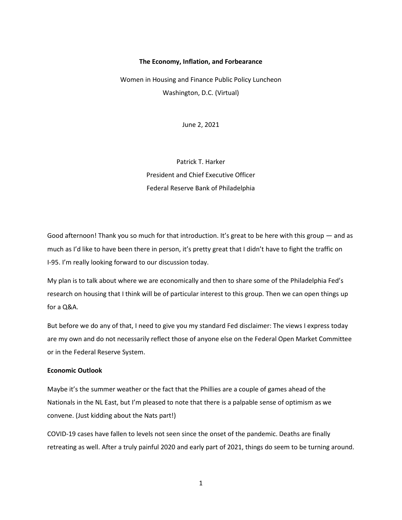## **The Economy, Inflation, and Forbearance**

Women in Housing and Finance Public Policy Luncheon Washington, D.C. (Virtual)

June 2, 2021

Patrick T. Harker President and Chief Executive Officer Federal Reserve Bank of Philadelphia

Good afternoon! Thank you so much for that introduction. It's great to be here with this group — and as much as I'd like to have been there in person, it's pretty great that I didn't have to fight the traffic on I-95. I'm really looking forward to our discussion today.

My plan is to talk about where we are economically and then to share some of the Philadelphia Fed's research on housing that I think will be of particular interest to this group. Then we can open things up for a Q&A.

But before we do any of that, I need to give you my standard Fed disclaimer: The views I express today are my own and do not necessarily reflect those of anyone else on the Federal Open Market Committee or in the Federal Reserve System.

# **Economic Outlook**

Maybe it's the summer weather or the fact that the Phillies are a couple of games ahead of the Nationals in the NL East, but I'm pleased to note that there is a palpable sense of optimism as we convene. (Just kidding about the Nats part!)

COVID-19 cases have fallen to levels not seen since the onset of the pandemic. Deaths are finally retreating as well. After a truly painful 2020 and early part of 2021, things do seem to be turning around.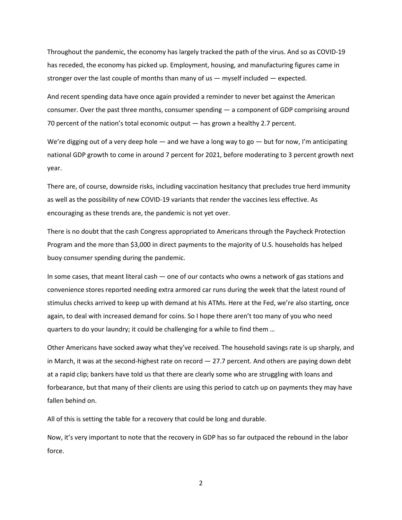Throughout the pandemic, the economy has largely tracked the path of the virus. And so as COVID-19 has receded, the economy has picked up. Employment, housing, and manufacturing figures came in stronger over the last couple of months than many of us — myself included — expected.

And recent spending data have once again provided a reminder to never bet against the American consumer. Over the past three months, consumer spending — a component of GDP comprising around 70 percent of the nation's total economic output — has grown a healthy 2.7 percent.

We're digging out of a very deep hole  $-$  and we have a long way to go  $-$  but for now, I'm anticipating national GDP growth to come in around 7 percent for 2021, before moderating to 3 percent growth next year.

There are, of course, downside risks, including vaccination hesitancy that precludes true herd immunity as well as the possibility of new COVID-19 variants that render the vaccines less effective. As encouraging as these trends are, the pandemic is not yet over.

There is no doubt that the cash Congress appropriated to Americans through the Paycheck Protection Program and the more than \$3,000 in direct payments to the majority of U.S. households has helped buoy consumer spending during the pandemic.

In some cases, that meant literal cash — one of our contacts who owns a network of gas stations and convenience stores reported needing extra armored car runs during the week that the latest round of stimulus checks arrived to keep up with demand at his ATMs. Here at the Fed, we're also starting, once again, to deal with increased demand for coins. So I hope there aren't too many of you who need quarters to do your laundry; it could be challenging for a while to find them …

Other Americans have socked away what they've received. The household savings rate is up sharply, and in March, it was at the second-highest rate on record  $-27.7$  percent. And others are paying down debt at a rapid clip; bankers have told us that there are clearly some who are struggling with loans and forbearance, but that many of their clients are using this period to catch up on payments they may have fallen behind on.

All of this is setting the table for a recovery that could be long and durable.

Now, it's very important to note that the recovery in GDP has so far outpaced the rebound in the labor force.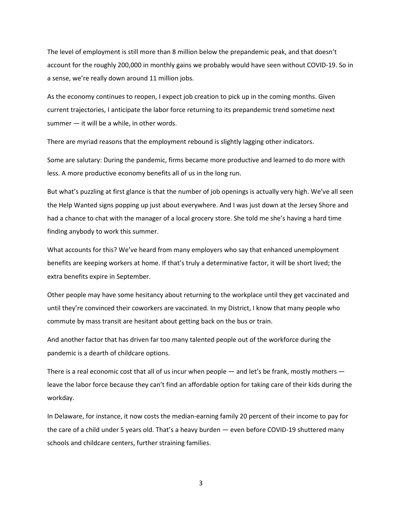The level of employment is still more than 8 million below the prepandemic peak, and that doesn't account for the roughly 200,000 in monthly gains we probably would have seen without COVID-19. So in a sense, we're really down around 11 million jobs.

As the economy continues to reopen, I expect job creation to pick up in the coming months. Given current trajectories, I anticipate the labor force returning to its prepandemic trend sometime next summer — it will be a while, in other words.

There are myriad reasons that the employment rebound is slightly lagging other indicators.

Some are salutary: During the pandemic, firms became more productive and learned to do more with less. A more productive economy benefits all of us in the long run.

But what's puzzling at first glance is that the number of job openings is actually very high. We've all seen the Help Wanted signs popping up just about everywhere. And I was just down at the Jersey Shore and had a chance to chat with the manager of a local grocery store. She told me she's having a hard time finding anybody to work this summer.

What accounts for this? We've heard from many employers who say that enhanced unemployment benefits are keeping workers at home. If that's truly a determinative factor, it will be short lived; the extra benefits expire in September.

Other people may have some hesitancy about returning to the workplace until they get vaccinated and until they're convinced their coworkers are vaccinated. In my District, I know that many people who commute by mass transit are hesitant about getting back on the bus or train.

And another factor that has driven far too many talented people out of the workforce during the pandemic is a dearth of childcare options.

There is a real economic cost that all of us incur when people — and let's be frank, mostly mothers leave the labor force because they can't find an affordable option for taking care of their kids during the workday.

In Delaware, for instance, it now costs the median-earning family 20 percent of their income to pay for the care of a child under 5 years old. That's a heavy burden — even before COVID-19 shuttered many schools and childcare centers, further straining families.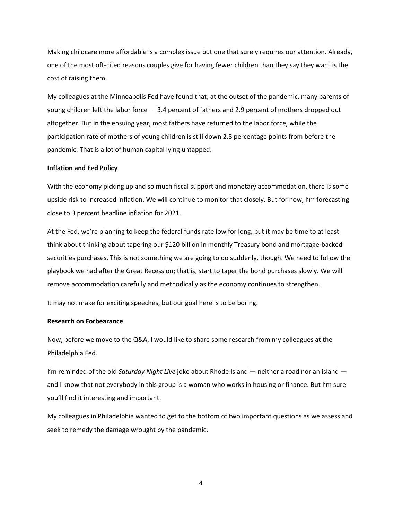Making childcare more affordable is a complex issue but one that surely requires our attention. Already, one of the most oft-cited reasons couples give for having fewer children than they say they want is the cost of raising them.

My colleagues at the Minneapolis Fed have found that, at the outset of the pandemic, many parents of young children left the labor force — 3.4 percent of fathers and 2.9 percent of mothers dropped out altogether. But in the ensuing year, most fathers have returned to the labor force, while the participation rate of mothers of young children is still down 2.8 percentage points from before the pandemic. That is a lot of human capital lying untapped.

#### **Inflation and Fed Policy**

With the economy picking up and so much fiscal support and monetary accommodation, there is some upside risk to increased inflation. We will continue to monitor that closely. But for now, I'm forecasting close to 3 percent headline inflation for 2021.

At the Fed, we're planning to keep the federal funds rate low for long, but it may be time to at least think about thinking about tapering our \$120 billion in monthly Treasury bond and mortgage-backed securities purchases. This is not something we are going to do suddenly, though. We need to follow the playbook we had after the Great Recession; that is, start to taper the bond purchases slowly. We will remove accommodation carefully and methodically as the economy continues to strengthen.

It may not make for exciting speeches, but our goal here is to be boring.

### **Research on Forbearance**

Now, before we move to the Q&A, I would like to share some research from my colleagues at the Philadelphia Fed.

I'm reminded of the old *Saturday Night Live* joke about Rhode Island — neither a road nor an island and I know that not everybody in this group is a woman who works in housing or finance. But I'm sure you'll find it interesting and important.

My colleagues in Philadelphia wanted to get to the bottom of two important questions as we assess and seek to remedy the damage wrought by the pandemic.